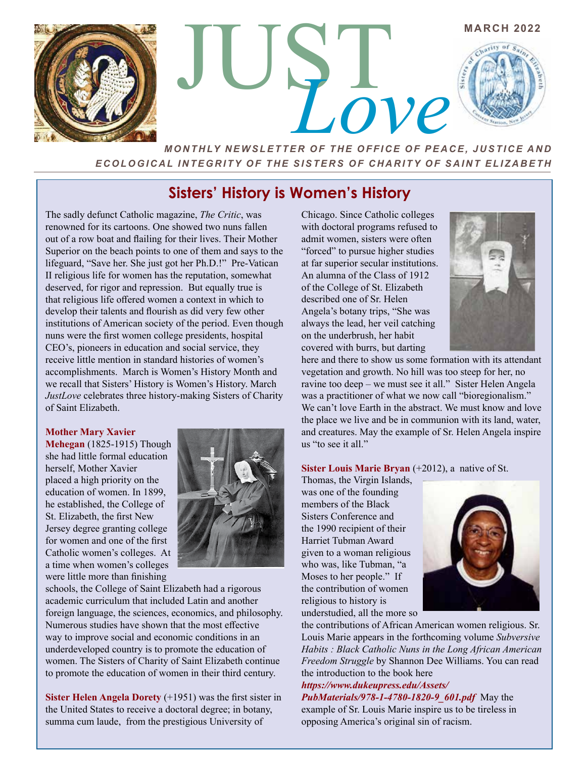

 $\frac{1}{2}$ 

*MONTHLY NEWSLETTER OF THE OFFICE OF PEACE, JUSTICE AND ECOLOGICAL INTEGRITY OF THE SISTERS OF CHARITY OF SAINT ELIZABETH*

# **Sisters' History is Women's History**

The sadly defunct Catholic magazine, *The Critic*, was renowned for its cartoons. One showed two nuns fallen out of a row boat and flailing for their lives. Their Mother Superior on the beach points to one of them and says to the lifeguard, "Save her. She just got her Ph.D.!" Pre-Vatican II religious life for women has the reputation, somewhat deserved, for rigor and repression. But equally true is that religious life offered women a context in which to develop their talents and flourish as did very few other institutions of American society of the period. Even though nuns were the first women college presidents, hospital CEO's, pioneers in education and social service, they receive little mention in standard histories of women's accomplishments. March is Women's History Month and we recall that Sisters' History is Women's History. March *JustLove* celebrates three history-making Sisters of Charity of Saint Elizabeth.

#### **Mother Mary Xavier**

**Mehegan** (1825-1915) Though she had little formal education herself, Mother Xavier placed a high priority on the education of women. In 1899, he established, the College of St. Elizabeth, the first New Jersey degree granting college for women and one of the first Catholic women's colleges. At a time when women's colleges were little more than finishing



schools, the College of Saint Elizabeth had a rigorous academic curriculum that included Latin and another foreign language, the sciences, economics, and philosophy. Numerous studies have shown that the most effective way to improve social and economic conditions in an underdeveloped country is to promote the education of women. The Sisters of Charity of Saint Elizabeth continue to promote the education of women in their third century.

**Sister Helen Angela Dorety** (+1951) was the first sister in the United States to receive a doctoral degree; in botany, summa cum laude, from the prestigious University of

Chicago. Since Catholic colleges with doctoral programs refused to admit women, sisters were often "forced" to pursue higher studies at far superior secular institutions. An alumna of the Class of 1912 of the College of St. Elizabeth described one of Sr. Helen Angela's botany trips, "She was always the lead, her veil catching on the underbrush, her habit covered with burrs, but darting



**MARCH 2022** 

here and there to show us some formation with its attendant vegetation and growth. No hill was too steep for her, no ravine too deep – we must see it all." Sister Helen Angela was a practitioner of what we now call "bioregionalism." We can't love Earth in the abstract. We must know and love the place we live and be in communion with its land, water, and creatures. May the example of Sr. Helen Angela inspire us "to see it all."

#### **Sister Louis Marie Bryan** (+2012), a native of St.

Thomas, the Virgin Islands, was one of the founding members of the Black Sisters Conference and the 1990 recipient of their Harriet Tubman Award given to a woman religious who was, like Tubman, "a Moses to her people." If the contribution of women religious to history is understudied, all the more so



the contributions of African American women religious. Sr. Louis Marie appears in the forthcoming volume *Subversive Habits : Black Catholic Nuns in the Long African American Freedom Struggle* by Shannon Dee Williams. You can read the introduction to the book here

### *https://www.dukeupress.edu/Assets/ PubMaterials/978-1-4780-1820-9\_601.pdf* May the

example of Sr. Louis Marie inspire us to be tireless in opposing America's original sin of racism.